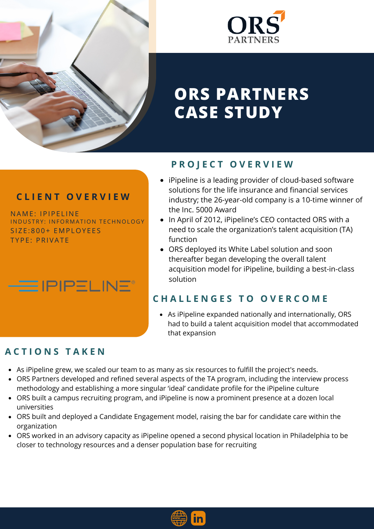



# **ORS PARTNERS CASE STUDY**

#### **C L I E N T O V E R V I E W**

NAME: IPIPELINE INDUSTRY: INFORMATION TECHNOLOGY SIZE:800+ EMPLOYEES TYPE: PRIVATE



#### **P R O J E C T O V E R V I E W**

- iPipeline is a leading provider of cloud-based software solutions for the life insurance and financial services industry; the 26-year-old company is a 10-time winner of the Inc. 5000 Award
- In April of 2012, iPipeline's CEO contacted ORS with a need to scale the organization's talent acquisition (TA) function
- ORS deployed its White Label solution and soon thereafter began developing the overall talent acquisition model for iPipeline, building a best-in-class solution

### **C H A L L E N G E S T O O V E R C O M E**

As iPipeline expanded nationally and internationally, ORS had to build a talent acquisition model that accommodated that expansion

## **A C T I O N S T A K E N**

- As iPipeline grew, we scaled our team to as many as six resources to fulfill the project's needs.
- ORS Partners developed and refined several aspects of the TA program, including the interview process methodology and establishing a more singular 'ideal' candidate profile for the iPipeline culture
- ORS built a campus recruiting program, and iPipeline is now a prominent presence at a dozen local universities
- ORS built and deployed a Candidate Engagement model, raising the bar for candidate care within the organization
- ORS worked in an advisory capacity as iPipeline opened a second physical location in Philadelphia to be closer to technology resources and a denser population base for recruiting